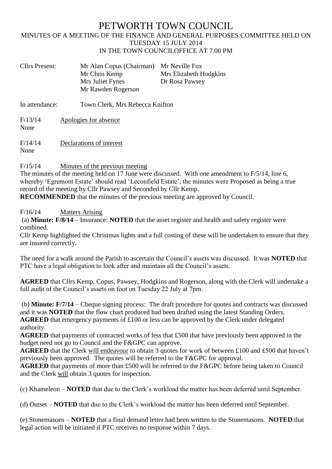## PETWORTH TOWN COUNCIL

## MINUTES OF A MEETING OF THE FINANCE AND GENERAL PURPOSES COMMITTEE HELD ON TUESDAY 15 JULY 2014 IN THE TOWN COUNCILOFFICE AT 7.00 PM

| <b>Cllrs Present:</b>   | Mr Alan Copus (Chairman) Mr Neville Fox<br>Mr Chris Kemp<br>Mrs Juliet Fynes<br>Mr Rawden Rogerson | Mrs Elizabeth Hodgkins<br>Dr Rosa Pawsey |
|-------------------------|----------------------------------------------------------------------------------------------------|------------------------------------------|
| $\mathbf{L}$ attendance | Town Clay Mus Dehoose Vuitton                                                                      |                                          |

In attendance: Town Clerk, Mrs Rebecca Knifton

F/13/14 Apologies for absence None

F/14/14 Declarations of interest None

F/15/14 Minutes of the previous meeting

The minutes of the meeting held on 17 June were discussed. With one amendment to  $F/5/14$ , line 6, whereby 'Egremont Estate' should read 'Leconfield Estate', the minutes were Proposed as being a true record of the meeting by Cllr Pawsey and Seconded by Cllr Kemp.

**RECOMMENDED** that the minutes of the previous meeting are approved by Council.

## F/16/14 Matters Arising

(a) **Minute: F/8/14** – Insurance: **NOTED** that the asset register and health and safety register were combined.

Cllr Kemp highlighted the Christmas lights and a full costing of these will be undertaken to ensure that they are insured correctly.

The need for a walk around the Parish to ascertain the Council's assets was discussed. It was **NOTED** that PTC have a legal obligation to look after and maintain all the Council's assets.

**AGREED** that Cllrs Kemp, Copus, Pawsey, Hodgkins and Rogerson, along with the Clerk will undertake a full audit of the Council's assets on foot on Tuesday 22 July at 7pm.

(b) **Minute: F/7/14** – Cheque signing process: The draft procedure for quotes and contracts was discussed and it was **NOTED** that the flow chart produced had been drafted using the latest Standing Orders. **AGREED** that emergency payments of £100 or less can be approved by the Clerk under delegated authority.

**AGREED** that payments of contracted works of less that £500 that have previously been approved in the budget need not go to Council and the F&GPC can approve.

**AGREED** that the Clerk will endeavour to obtain 3 quotes for work of between £100 and £500 that haven't previously been approved. The quotes will be referred to the F&GPC for approval.

**AGREED** that payments of more than £500 will be referred to the F&GPC before being taken to Council and the Clerk will obtain 3 quotes for inspection.

(c) Khameleon – **NOTED** that due to the Clerk's workload the matter has been deferred until September.

(d) Outset – **NOTED** that due to the Clerk's workload the matter has been deferred until September.

(e) Stonemasons – **NOTED** that a final demand letter had been written to the Stonemasons. **NOTED** that legal action will be initiated if PTC receives no response within 7 days.